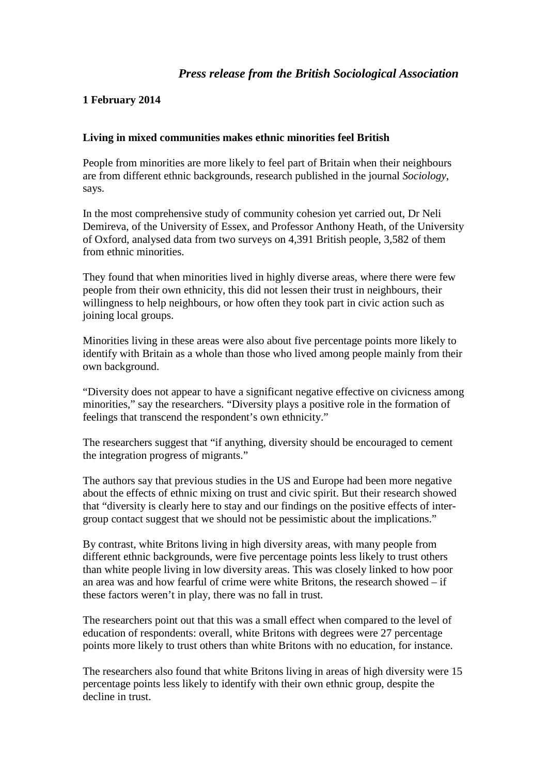# *Press release from the British Sociological Association*

## **1 February 2014**

## **Living in mixed communities makes ethnic minorities feel British**

People from minorities are more likely to feel part of Britain when their neighbours are from different ethnic backgrounds, research published in the journal *Sociology*, says.

In the most comprehensive study of community cohesion yet carried out, Dr Neli Demireva, of the University of Essex, and Professor Anthony Heath, of the University of Oxford, analysed data from two surveys on 4,391 British people, 3,582 of them from ethnic minorities.

They found that when minorities lived in highly diverse areas, where there were few people from their own ethnicity, this did not lessen their trust in neighbours, their willingness to help neighbours, or how often they took part in civic action such as joining local groups.

Minorities living in these areas were also about five percentage points more likely to identify with Britain as a whole than those who lived among people mainly from their own background.

"Diversity does not appear to have a significant negative effective on civicness among minorities," say the researchers. "Diversity plays a positive role in the formation of feelings that transcend the respondent's own ethnicity."

The researchers suggest that "if anything, diversity should be encouraged to cement the integration progress of migrants."

The authors say that previous studies in the US and Europe had been more negative about the effects of ethnic mixing on trust and civic spirit. But their research showed that "diversity is clearly here to stay and our findings on the positive effects of intergroup contact suggest that we should not be pessimistic about the implications."

By contrast, white Britons living in high diversity areas, with many people from different ethnic backgrounds, were five percentage points less likely to trust others than white people living in low diversity areas. This was closely linked to how poor an area was and how fearful of crime were white Britons, the research showed – if these factors weren't in play, there was no fall in trust.

The researchers point out that this was a small effect when compared to the level of education of respondents: overall, white Britons with degrees were 27 percentage points more likely to trust others than white Britons with no education, for instance.

The researchers also found that white Britons living in areas of high diversity were 15 percentage points less likely to identify with their own ethnic group, despite the decline in trust.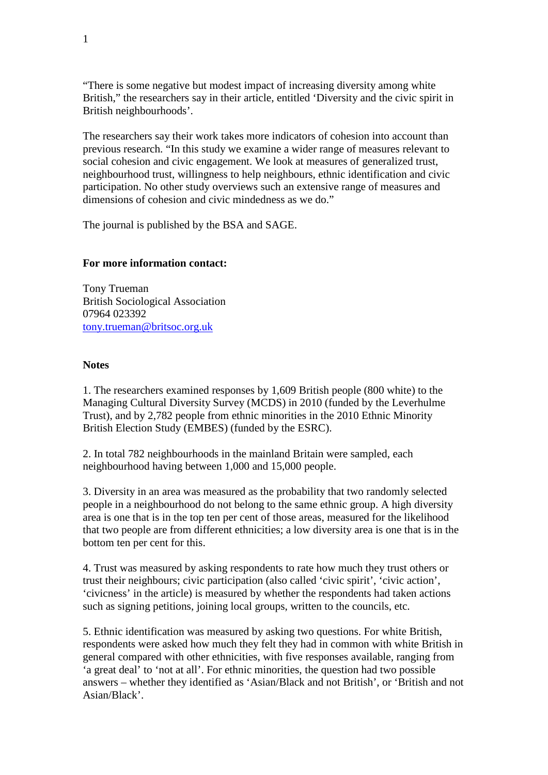"There is some negative but modest impact of increasing diversity among white British," the researchers say in their article, entitled 'Diversity and the civic spirit in British neighbourhoods'.

The researchers say their work takes more indicators of cohesion into account than previous research. "In this study we examine a wider range of measures relevant to social cohesion and civic engagement. We look at measures of generalized trust, neighbourhood trust, willingness to help neighbours, ethnic identification and civic participation. No other study overviews such an extensive range of measures and dimensions of cohesion and civic mindedness as we do."

The journal is published by the BSA and SAGE.

### **For more information contact:**

Tony Trueman British Sociological Association 07964 023392 [tony.trueman@britsoc.org.uk](mailto:tony.trueman@britsoc.org.uk)

#### **Notes**

1. The researchers examined responses by 1,609 British people (800 white) to the Managing Cultural Diversity Survey (MCDS) in 2010 (funded by the Leverhulme Trust), and by 2,782 people from ethnic minorities in the 2010 Ethnic Minority British Election Study (EMBES) (funded by the ESRC).

2. In total 782 neighbourhoods in the mainland Britain were sampled, each neighbourhood having between 1,000 and 15,000 people.

3. Diversity in an area was measured as the probability that two randomly selected people in a neighbourhood do not belong to the same ethnic group. A high diversity area is one that is in the top ten per cent of those areas, measured for the likelihood that two people are from different ethnicities; a low diversity area is one that is in the bottom ten per cent for this.

4. Trust was measured by asking respondents to rate how much they trust others or trust their neighbours; civic participation (also called 'civic spirit', 'civic action', 'civicness' in the article) is measured by whether the respondents had taken actions such as signing petitions, joining local groups, written to the councils, etc.

5. Ethnic identification was measured by asking two questions. For white British, respondents were asked how much they felt they had in common with white British in general compared with other ethnicities, with five responses available, ranging from 'a great deal' to 'not at all'. For ethnic minorities, the question had two possible answers – whether they identified as 'Asian/Black and not British', or 'British and not Asian/Black'.